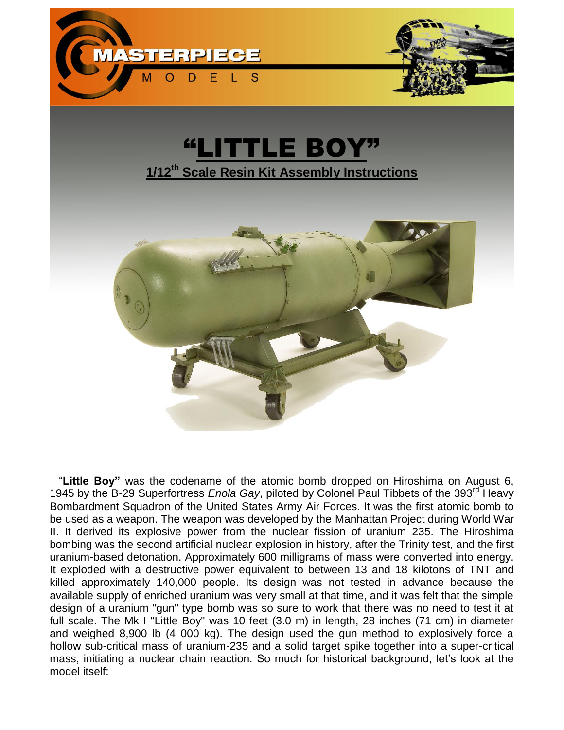



 "**Little Boy"** was the codename of the [atomic bomb](http://en.wikipedia.org/wiki/Atomic_bomb) dropped on Hiroshima on August 6, 1945 by the B-29 Superfortress *Enola Gay*, piloted by Colonel Paul Tibbets of the 393<sup>rd</sup> Heavy Bombardment Squadron of the United States Army Air Forces. It was the first atomic bomb to be used as a weapon. The weapon was developed by the [Manhattan Project](http://en.wikipedia.org/wiki/Manhattan_Project) during [World War](http://en.wikipedia.org/wiki/World_War_II)  [II.](http://en.wikipedia.org/wiki/World_War_II) It derived its explosive power from the [nuclear fission](http://en.wikipedia.org/wiki/Nuclear_fission) of [uranium](http://en.wikipedia.org/wiki/Uranium_235) 235. The Hiroshima bombing was the second artificial [nuclear explosion](http://en.wikipedia.org/wiki/Nuclear_explosion) in history, after the [Trinity test,](http://en.wikipedia.org/wiki/Trinity_%28nuclear_test%29) and the first [uranium-](http://en.wikipedia.org/wiki/Uranium)based detonation. Approximately 600 milligrams of mass were converted into energy. It exploded with a destructive power equivalent to between 13 and 18 [kilotons of TNT](http://en.wikipedia.org/wiki/TNT_equivalent) and killed approximately 140,000 people. Its design was not tested in advance because the available supply of enriched uranium was very small at that time, and it was felt that the simple design of a uranium "gun" type bomb was so sure to work that there was no need to test it at full scale. The Mk I "Little Boy" was 10 feet (3.0 m) in length, 28 inches (71 cm) in diameter and weighed 8,900 lb (4 000 kg). The design used the gun method to explosively force a hollow sub-critical mass of uranium-235 and a solid target spike together into a super-critical mass, initiating a nuclear chain reaction. So much for historical background, let's look at the model itself: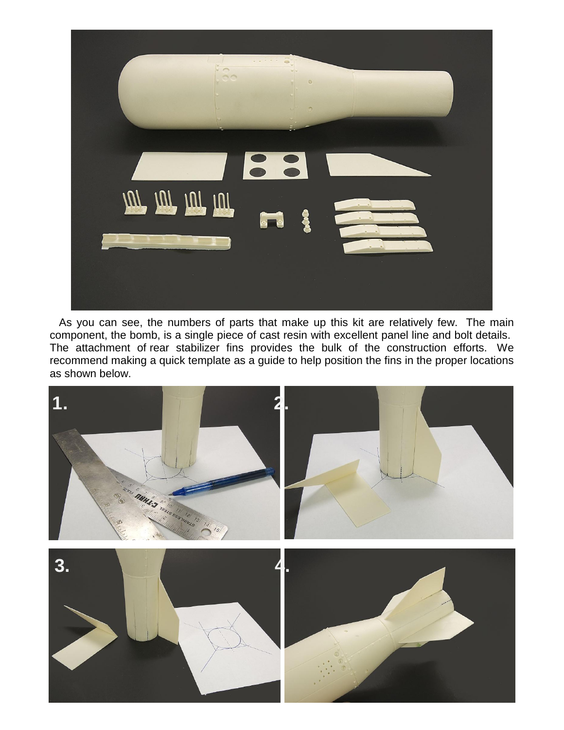

 As you can see, the numbers of parts that make up this kit are relatively few. The main component, the bomb, is a single piece of cast resin with excellent panel line and bolt details. The attachment of rear stabilizer fins provides the bulk of the construction efforts. We recommend making a quick template as a guide to help position the fins in the proper locations as shown below.

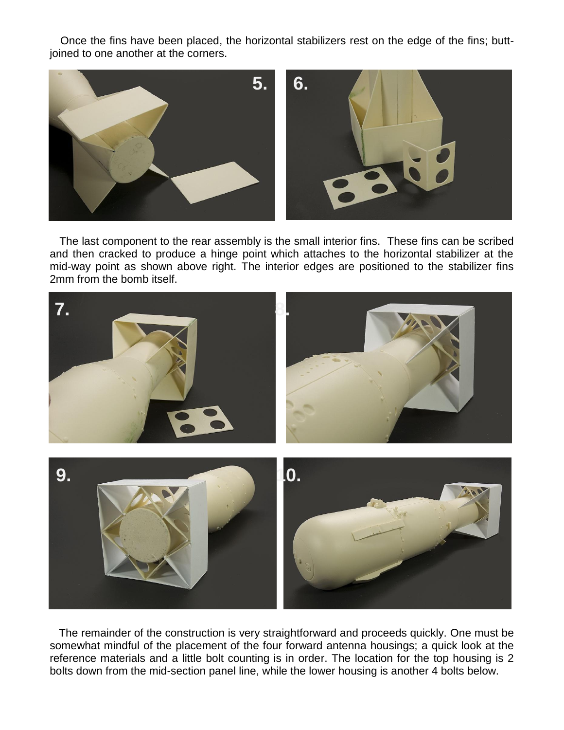Once the fins have been placed, the horizontal stabilizers rest on the edge of the fins; buttjoined to one another at the corners.



The last component to the rear assembly is the small interior fins. These fins can be scribed and then cracked to produce a hinge point which attaches to the horizontal stabilizer at the mid-way point as shown above right. The interior edges are positioned to the stabilizer fins 2mm from the bomb itself.



 The remainder of the construction is very straightforward and proceeds quickly. One must be somewhat mindful of the placement of the four forward antenna housings; a quick look at the reference materials and a little bolt counting is in order. The location for the top housing is 2 bolts down from the mid-section panel line, while the lower housing is another 4 bolts below.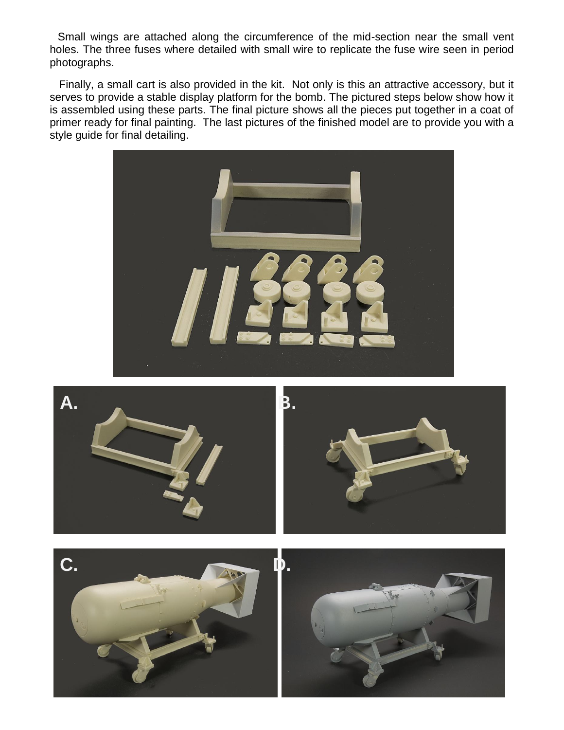Small wings are attached along the circumference of the mid-section near the small vent holes. The three fuses where detailed with small wire to replicate the fuse wire seen in period photographs.

 Finally, a small cart is also provided in the kit. Not only is this an attractive accessory, but it serves to provide a stable display platform for the bomb. The pictured steps below show how it is assembled using these parts. The final picture shows all the pieces put together in a coat of primer ready for final painting. The last pictures of the finished model are to provide you with a style guide for final detailing.